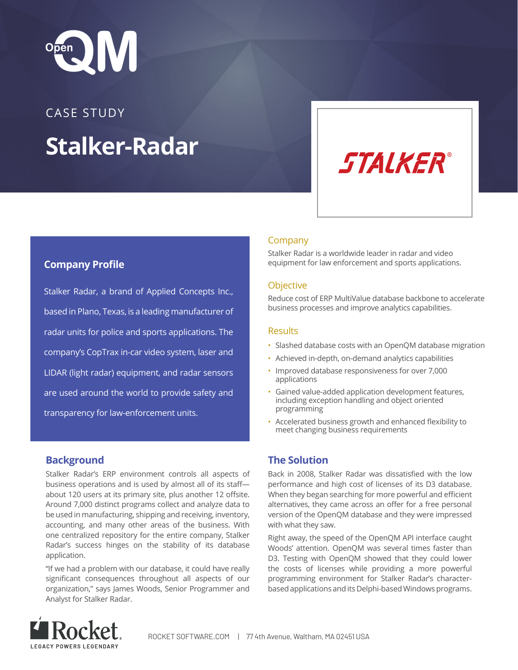# Open WI

## CASE STUDY **Stalker-Radar**

### **Company Profile**

Stalker Radar, a brand of Applied Concepts Inc., based in Plano, Texas, is a leading manufacturer of radar units for police and sports applications. The company's CopTrax in-car video system, laser and LIDAR (light radar) equipment, and radar sensors are used around the world to provide safety and transparency for law-enforcement units.

### **Background**

Stalker Radar's ERP environment controls all aspects of business operations and is used by almost all of its staff about 120 users at its primary site, plus another 12 offsite. Around 7,000 distinct programs collect and analyze data to be used in manufacturing, shipping and receiving, inventory, accounting, and many other areas of the business. With one centralized repository for the entire company, Stalker Radar's success hinges on the stability of its database application.

"If we had a problem with our database, it could have really significant consequences throughout all aspects of our organization," says James Woods, Senior Programmer and Analyst for Stalker Radar.

#### Company

Stalker Radar is a worldwide leader in radar and video equipment for law enforcement and sports applications.

#### **Objective**

Reduce cost of ERP MultiValue database backbone to accelerate business processes and improve analytics capabilities.

STALKER®

#### **Results**

- Slashed database costs with an OpenQM database migration
- Achieved in-depth, on-demand analytics capabilities
- Improved database responsiveness for over 7,000 applications
- Gained value-added application development features, including exception handling and object oriented programming
- Accelerated business growth and enhanced flexibility to meet changing business requirements

### **The Solution**

Back in 2008, Stalker Radar was dissatisfied with the low performance and high cost of licenses of its D3 database. When they began searching for more powerful and efficient alternatives, they came across an offer for a free personal version of the OpenQM database and they were impressed with what they saw.

Right away, the speed of the OpenQM API interface caught Woods' attention. OpenQM was several times faster than D3. Testing with OpenQM showed that they could lower the costs of licenses while providing a more powerful programming environment for Stalker Radar's characterbased applications and its Delphi-based Windows programs.